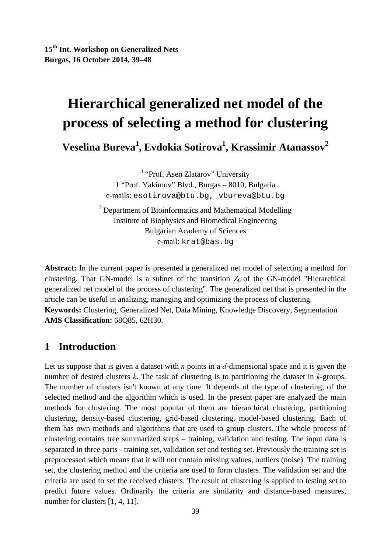**15th Int. Workshop on Generalized Nets Burgas, 16 October 2014, 39–48** 

# **Hierarchical generalized net model of the process of selecting a method for clustering**

**Veselina Bureva<sup>1</sup> , Evdokia Sotirova1 , Krassimir Atanassov2** 

<sup>1</sup> "Prof. Asen Zlatarov" University 1 "Prof. Yakimov" Blvd., Burgas – 8010, Bulgaria e-mails: esotirova@btu.bg, vbureva@btu.bg

<sup>2</sup> Department of Bioinformatics and Mathematical Modelling Institute of Biophysics and Biomedical Engineering Bulgarian Academy of Sciences e-mail: krat@bas.bg

**Abstract:** In the current paper is presented a generalized net model of selecting a method for clustering. That GN-model is a subnet of the transition  $Z_6$  of the GN-model "Hierarchical generalized net model of the process of clustering". The generalized net that is presented in the article can be useful in analizing, managing and optimizing the process of clustering. **Keywords:** Clustering, Generalized Net, Data Mining, Knowledge Discovery, Segmentation **AMS Classification:** 68Q85, 62H30.

## **1 Introduction**

Let us suppose that is given a dataset with *n* points in a *d*-dimensional space and it is given the number of desired clusters *k*. The task of clustering is to partitioning the dataset in *k*-groups. The number of clusters isn't known at any time. It depends of the type of clustering, of the selected method and the algorithm which is used. In the present paper are analyzed the main methods for clustering. The most popular of them are hierarchical clustering, partitioning clustering, density-based clustering, grid-based clustering, model-based clustering. Each of them has own methods and algorithms that are used to group clusters. The whole process of clustering contains tree summarized steps – training, validation and testing. The input data is separated in three parts - training set, validation set and testing set. Previously the training set is preprocessed which means that it will not contain missing values, outliers (noise). The training set, the clustering method and the criteria are used to form clusters. The validation set and the criteria are used to set the received clusters. The result of clustering is applied to testing set to predict future values. Ordinarily the criteria are similarity and distance-based measures, number for clusters [1, 4, 11].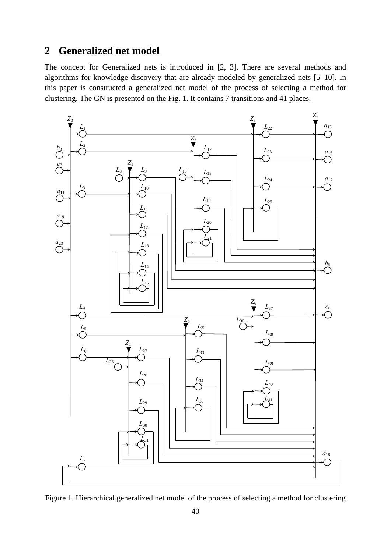## **2 Generalized net model**

The concept for Generalized nets is introduced in [2, 3]. There are several methods and algorithms for knowledge discovery that are already modeled by generalized nets [5–10]. In this paper is constructed a generalized net model of the process of selecting a method for clustering. The GN is presented on the Fig. 1. It contains 7 transitions and 41 places.



Figure 1. Hierarchical generalized net model of the process of selecting a method for clustering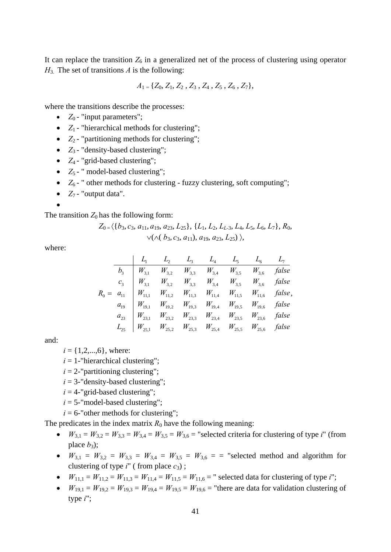It can replace the transition  $Z_6$  in a generalized net of the process of clustering using operator *Н*3. The set of transitions *А* is the following:

$$
A_1 = \{Z_0, Z_1, Z_2, Z_3, Z_4, Z_5, Z_6, Z_7\},\
$$

where the transitions describe the processes:

- $Z_0$  "input parameters";
- $Z_1$  "hierarchical methods for clustering";
- *Z*<sub>2</sub> "partitioning methods for clustering";
- *Z*<sub>3</sub> "density-based clustering";
- *Z*<sub>4</sub> "grid-based clustering";
- $Z_5$  " model-based clustering";
- $Z_6$  " other methods for clustering fuzzy clustering, soft computing";
- $Z_7$  "output data".
- •

The transition  $Z_0$  has the following form:

$$
Z_{0} = \langle \{b_3, c_3, a_{11}, a_{19}, a_{23}, L_{25}\}, \{L_1, L_2, L_{L-3}, L_4, L_5, L_6, L_7\}, R_0, \\\vee (\wedge (b_3, c_3, a_{11}), a_{19}, a_{23}, L_{25})\rangle,
$$

where:

|  | $L_1$ $L_2$ $L_3$ $L_4$ $L_5$ $L_6$ $L_7$                                                                                                                                                                                                                                                                                                                                                |  |  |  |
|--|------------------------------------------------------------------------------------------------------------------------------------------------------------------------------------------------------------------------------------------------------------------------------------------------------------------------------------------------------------------------------------------|--|--|--|
|  | $\label{eq:R0} \begin{array}{c ccccccccc} & & & & & & & & \\ \hline b_3 & W_{3,1} & W_{3,2} & W_{3,3} & W_{3,4} & W_{3,5} & W_{3,6} & false \\ & & & & & & & & & \\ c_3 & W_{3,1} & W_{3,2} & W_{3,3} & W_{3,4} & W_{3,5} & W_{3,6} & false \\ & & & & & & & & & \\ R_0 = & a_{11} & W_{11,1} & W_{11,2} & W_{11,3} & W_{11,4} & W_{11,5} & W_{11,6} & false \\ & & & & & & & & \\ a_{1$ |  |  |  |
|  |                                                                                                                                                                                                                                                                                                                                                                                          |  |  |  |
|  |                                                                                                                                                                                                                                                                                                                                                                                          |  |  |  |
|  |                                                                                                                                                                                                                                                                                                                                                                                          |  |  |  |
|  |                                                                                                                                                                                                                                                                                                                                                                                          |  |  |  |
|  |                                                                                                                                                                                                                                                                                                                                                                                          |  |  |  |

and:

 $i = \{1, 2, \ldots, 6\}$ , where:

- $i = 1$ -"hierarchical clustering";
- $i = 2$ -"partitioning clustering";
- $i = 3$ -"density-based clustering";
- $i = 4$ -"grid-based clustering";
- $i = 5$ -"model-based clustering";

 $i = 6$ -"other methods for clustering";

The predicates in the index matrix  $R_0$  have the following meaning:

- $W_{3,1} = W_{3,2} = W_{3,3} = W_{3,4} = W_{3,5} = W_{3,6} =$  "selected criteria for clustering of type *i*" (from place  $b_3$ ;
- $W_{3,1} = W_{3,2} = W_{3,3} = W_{3,4} = W_{3,5} = W_{3,6} =$  selected method and algorithm for clustering of type  $i''$  (from place  $c_3$ );
- $W_{11,1} = W_{11,2} = W_{11,3} = W_{11,4} = W_{11,5} = W_{11,6} =$ " selected data for clustering of type *i*";
- $W_{19,1} = W_{19,2} = W_{19,3} = W_{19,4} = W_{19,5} = W_{19,6} =$  "there are data for validation clustering of type *i*";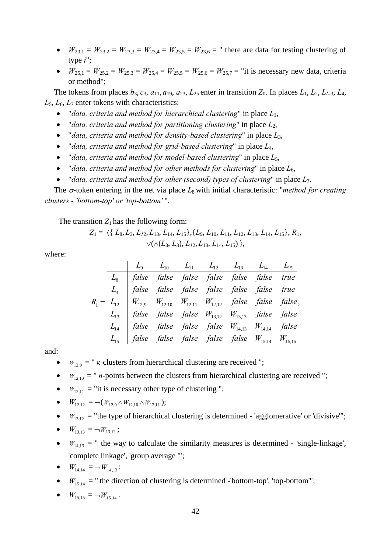- $W_{23,1} = W_{23,2} = W_{23,3} = W_{23,4} = W_{23,5} = W_{23,6} =$  " there are data for testing clustering of type *i*";
- $W_{25,1} = W_{25,2} = W_{25,3} = W_{25,4} = W_{25,5} = W_{25,6} = W_{25,7} =$  "it is necessary new data, criteria or method";

The tokens from places  $b_3$ ,  $c_3$ ,  $a_{11}$ ,  $a_{19}$ ,  $a_{23}$ ,  $L_{25}$  enter in transition  $Z_0$ . In places  $L_1$ ,  $L_2$ ,  $L_{L-3}$ ,  $L_4$ ,  $L_5$ ,  $L_6$ ,  $L_7$  enter tokens with characteristics:

- "*data, criteria and method for hierarchical clustering*" in place *L*1,
- "*data, criteria and method for partitioning clustering*" in place *L*2,
- "*data, criteria and method for density-based clustering*" in place *L*3,
- "*data, criteria and method for grid-based clustering*" in place *L*4,
- "*data, criteria and method for model-based clustering*" in place *L*5,
- "*data, criteria and method for other methods for clustering*" in place *L*6,
- "*data, criteria and method for other (second) types of clustering*" in place *L*7.

The  $\sigma$ -token entering in the net via place  $L_8$  with initial characteristic: "*method for creating clusters - 'bottom-top' or 'top-bottom'* ".

The transition  $Z_1$  has the following form:

$$
Z_1 = \langle \{ L_8, L_3, L_{12}, L_{13}, L_{14}, L_{15} \}, \{ L_9, L_{10}, L_{11}, L_{12}, L_{13}, L_{14}, L_{15} \}, R_1, \{ \vee (\wedge (L_8, L_3), L_{12}, L_{13}, L_{14}, L_{15} ) \rangle,
$$

where:

|  |  | $\begin{vmatrix} L_9 & L_{10} & L_{11} & L_{12} & L_{13} & L_{14} & L_{15} \end{vmatrix}$                                                                                                                                                         |  |  |
|--|--|---------------------------------------------------------------------------------------------------------------------------------------------------------------------------------------------------------------------------------------------------|--|--|
|  |  |                                                                                                                                                                                                                                                   |  |  |
|  |  |                                                                                                                                                                                                                                                   |  |  |
|  |  | $R_1 = L_{12}$ $L_3$ false false false false false false true<br>$L_1 = L_{12}$ $W_{12,9}$ $W_{12,10}$ $W_{12,11}$ $W_{12,12}$ false false false false,<br>$L_{13}$ false false false $W_{13,12}$ $W_{13,13}$ false false<br>$L_{14}$ false false |  |  |
|  |  |                                                                                                                                                                                                                                                   |  |  |
|  |  |                                                                                                                                                                                                                                                   |  |  |
|  |  |                                                                                                                                                                                                                                                   |  |  |

and:

- $W_{12,9}$  = " *k*-clusters from hierarchical clustering are received ";
- $W_{12,10}$  = " *n*-points between the clusters from hierarchical clustering are received ";
- $W_{12,11}$  = "it is necessary other type of clustering";

• 
$$
W_{12,12} = \neg(W_{12,9} \land W_{12,10} \land W_{12,11});
$$

 $W_{13,12}$  = "the type of hierarchical clustering is determined - 'agglomerative' or 'divisive'";

• 
$$
W_{13,13} = -W_{13,12}
$$
;

 $W_{14,13}$  = " the way to calculate the similarity measures is determined - 'single-linkage', 'complete linkage', 'group average '";

• 
$$
W_{14,14} = -W_{14,13}
$$
;

 $W_{15,14}$  = " the direction of clustering is determined -'bottom-top', 'top-bottom'";

• 
$$
W_{15,15} = -W_{15,14}
$$
.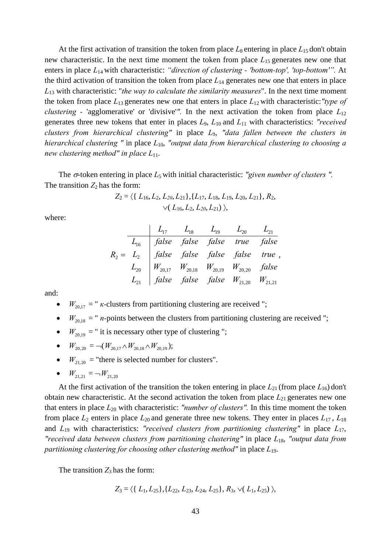At the first activation of transition the token from place  $L_8$  entering in place  $L_{15}$  don't obtain new characteristic. In the next time moment the token from place *L*15 generates new one that enters in place *L*14 with characteristic: *"direction of clustering - 'bottom-top', 'top-bottom'".* At the third activation of transition the token from place  $L_{14}$  generates new one that enters in place *L*13 with characteristic: "*the way to calculate the similarity measures*". In the next time moment the token from place *L*13 generates new one that enters in place *L*12 with characteristic:*"type of clustering -* 'agglomerative' or 'divisive'*".* In the next activation the token from place *L*<sup>12</sup> generates three new tokens that enter in places *L*9, *L*10 and *L*11 with characteristics: *"received clusters from hierarchical clustering"* in place *L*9, *"data fallen between the clusters in hierarchical clustering "* in place *L*10, *"output data from hierarchical clustering to choosing a new clustering method" in place L*11.

The σ-token entering in place *L*<sub>5</sub> with initial characteristic: "given number of clusters". The transition  $Z_2$  has the form:

$$
Z_2 = \langle \{ L_{16}, L_2, L_{20}, L_{21} \}, \{ L_{17}, L_{18}, L_{19}, L_{20}, L_{21} \}, R_2, \vee (L_{16}, L_2, L_{20}, L_{21}) \rangle,
$$

where:

$$
R_2 = \begin{array}{c|ccccc} & L_{17} & L_{18} & L_{19} & L_{20} & L_{21} \\ \hline L_{16} & false & false & false & true & false \\ R_2 = L_2 & false & false & false & false & true \\ L_{20} & W_{20,17} & W_{20,18} & W_{20,19} & W_{20,20} & false \\ L_{21} & false & false & false & W_{21,20} & W_{21,21} \end{array}
$$

and:

- $W_{20,17}$  = " *k*-clusters from partitioning clustering are received ";
- $W_{20,18} = "n\text{-points between the clusters from partitioning clustering are received "};$
- $W_{20,19}$  = " it is necessary other type of clustering ";
- $W_{20,20} = \neg(W_{20,17} \wedge W_{20,18} \wedge W_{20,19});$
- $W_{21,20}$  = "there is selected number for clusters".
- $W_{21,21} = -W_{21,20}$

At the first activation of the transition the token entering in place  $L_{21}$  (from place  $L_{16}$ ) don't obtain new characteristic. At the second activation the token from place *L*21 generates new one that enters in place  $L_{20}$  with characteristic: *"number of clusters"*. In this time moment the token from place  $L_2$  enters in place  $L_{20}$  and generate three new tokens. They enter in places  $L_{17}$ ,  $L_{18}$ and *L*19 with characteristics: *"received clusters from partitioning clustering"* in place *L*17, *"received data between clusters from partitioning clustering"* in place *L*18, *"output data from partitioning clustering for choosing other clustering method"* in place *L*19.

The transition  $Z_3$  has the form:

$$
Z_3 = \langle \{L_1, L_{25}\}, \{L_{22}, L_{23}, L_{24}, L_{25}\}, R_3, \vee (L_1, L_{25}) \rangle,
$$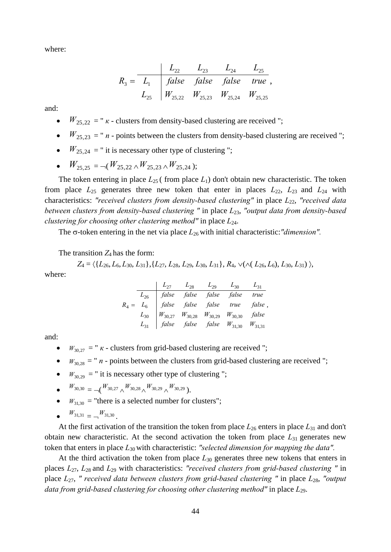where:

$$
R_3 = \begin{array}{c|ccccc} & L_{22} & L_{23} & L_{24} & L_{25} \\ \hline L_1 & false & false & false & true \\ L_{25} & W_{25,22} & W_{25,23} & W_{25,24} & W_{25,25} \end{array}
$$

and:

- $W_{25,22} = "K clusters from density-based clustering are received ";$
- $W_{25,23} = "n$  points between the clusters from density-based clustering are received";
- $W_{25,24}$  = " it is necessary other type of clustering ";
- $W_{25,25} = -(W_{25,22} \wedge W_{25,23} \wedge W_{25,24});$

The token entering in place  $L_{25}$  (from place  $L_1$ ) don't obtain new characteristic. The token from place  $L_{25}$  generates three new token that enter in places  $L_{22}$ ,  $L_{23}$  and  $L_{24}$  with characteristics: *"received clusters from density-based clustering"* in place *L*22, *"received data between clusters from density-based clustering "* in place *L*23, *"output data from density-based clustering for choosing other clustering method"* in place *L*24.

The σ-token entering in the net via place *L*26 with initial characteristic:*"dimension".*

The transition  $Z_4$  has the form:

$$
Z_4 = \langle \{L_{26}, L_{6}, L_{30}, L_{31}\}, \{L_{27}, L_{28}, L_{29}, L_{30}, L_{31}\}, R_4, \vee (\wedge (L_{26}, L_6), L_{30}, L_{31}) \rangle,
$$

where:

|  |  | $\begin{array}{ccc} \n & L_{27} & L_{28} & L_{29} & L_{30} & L_{31} \\  & & \n & \n\end{array}$                                                                                                                                                                         |  |
|--|--|-------------------------------------------------------------------------------------------------------------------------------------------------------------------------------------------------------------------------------------------------------------------------|--|
|  |  |                                                                                                                                                                                                                                                                         |  |
|  |  |                                                                                                                                                                                                                                                                         |  |
|  |  | $R_4 = \begin{array}{c cc} L_{26} & false & false & false & false & false & true \\ L_6 & false & false & false & true & false \\ L_{30} & W_{30,27} & W_{30,28} & W_{30,29} & W_{30,30} & false \\ L_{31} & false & false & false & W_{31,30} & W_{31,31} \end{array}$ |  |
|  |  |                                                                                                                                                                                                                                                                         |  |

and:

- $W_{30,27}$  = "  $\kappa$  clusters from grid-based clustering are received ";
- $W_{30,28} = "n$  points between the clusters from grid-based clustering are received";
- $W_{30,29}$  = " it is necessary other type of clustering ";

• 
$$
W_{30,30} = \bigcup_{k=1}^{N} W_{30,27} \bigwedge_{k=1}^{N} W_{30,28} \bigwedge_{k=1}^{N} W_{30,29} \bigwedge_{k=1}^{N} W_{30,29}
$$

- $W_{31,30}$  = "there is a selected number for clusters";
- $\bullet$   $W_{31,31}$   $\_$   $\_$   $W_{31,30}$

At the first activation of the transition the token from place  $L_{26}$  enters in place  $L_{31}$  and don't obtain new characteristic. At the second activation the token from place *L*31 generates new token that enters in place *L*30 with characteristic: *"selected dimension for mapping the data".*

At the third activation the token from place  $L_{30}$  generates three new tokens that enters in places *L*27, *L*28 and *L*29 with characteristics: *"received clusters from grid-based clustering "* in place *L*27, *" received data between clusters from grid-based clustering "* in place *L*28, *"output data from grid-based clustering for choosing other clustering method"* in place  $L_{29}$ .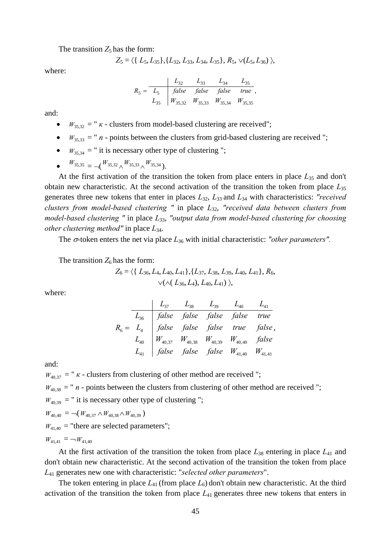The transition  $Z_5$  has the form:

$$
Z_5 = \langle \{ L_5, L_{35} \}, \{ L_{32}, L_{33}, L_{34}, L_{35} \}, R_5, \vee (L_5, L_{36}) \rangle
$$

where:

$$
R_5 = \begin{array}{c|ccccc} & L_{32} & L_{33} & L_{34} & L_{35} \\ \hline L_5 & false & false & false & true \\ L_{35} & W_{35,32} & W_{35,33} & W_{35,34} & W_{35,35} \end{array}
$$

and:

- $W_{35,32} =$  "  $\kappa$  clusters from model-based clustering are received";
- $W_{35,33} = "n$  points between the clusters from grid-based clustering are received";
- $W_{35,34}$  = " it is necessary other type of clustering ";
- $\bullet$  *W*<sub>35,35</sub> =  $\neg (W_{35,32} \wedge W_{35,33} \wedge W_{35,34}).$

At the first activation of the transition the token from place enters in place *L*35 and don't obtain new characteristic. At the second activation of the transition the token from place *L*<sup>35</sup> generates three new tokens that enter in places *L*32, *L*33 and *L*34 with characteristics: *"received clusters from model-based clustering "* in place *L*32, *"received data between clusters from model-based clustering "* in place *L*33, *"output data from model-based clustering for choosing other clustering method"* in place *L*34.

The  $\sigma$ -token enters the net via place  $L_{36}$  with initial characteristic: "other parameters".

The transition  $Z_6$  has the form:

$$
Z_6 = \langle \{ L_{36}, L_4, L_{40}, L_{41} \}, \{ L_{37}, L_{38}, L_{39}, L_{40}, L_{41} \}, R_6, \times (\wedge ( L_{36}, L_4), L_{40}, L_{41}) \rangle,
$$

where:

| $L_{37}$    | $L_{38}$                                       | $L_{39}$    | $L_{40}$    | $L_{41}$    |       |
|-------------|------------------------------------------------|-------------|-------------|-------------|-------|
| $R_6 = L_4$ | false false false false false false true false |             |             |             |       |
| $L_{40}$    | $W_{40,37}$                                    | $W_{40,38}$ | $W_{40,39}$ | $W_{40,40}$ | false |
| $L_{41}$    | false false false false false                  | $W_{41,40}$ | $W_{41,41}$ |             |       |

and:

 $W_{40,37}$  = "  $\kappa$  - clusters from clustering of other method are received ";

 $W_{40,38}$  = " *n* - points between the clusters from clustering of other method are received ";

 $W_{40,39}$  = " it is necessary other type of clustering ";

$$
W_{40,40} = \neg(W_{40,37} \wedge W_{40,38} \wedge W_{40,39})
$$

 $W_{41,40}$  = "there are selected parameters";

 $W_{41,41} = -W_{41,40}$ 

At the first activation of the transition the token from place  $L_{38}$  entering in place  $L_{41}$  and don't obtain new characteristic. At the second activation of the transition the token from place *L*41 generates new one with characteristic: "*selected other parameters*".

The token entering in place  $L_{41}$  (from place  $L_6$ ) don't obtain new characteristic. At the third activation of the transition the token from place *L*41 generates three new tokens that enters in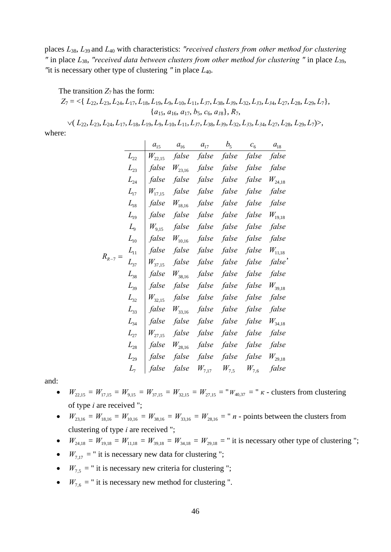places *L*38, *L*39 and *L*40 with characteristics: *"received clusters from other method for clustering "* in place *L*38, *"received data between clusters from other method for clustering "* in place *L*39, *"*it is necessary other type of clustering *"* in place *L*40.

The transition  $Z_7$  has the form:

 $Z_7 = \langle \{L_{22}, L_{23}, L_{24}, L_{17}, L_{18}, L_{19}, L_{9}, L_{10}, L_{11}, L_{37}, L_{38}, L_{39}, L_{32}, L_{33}, L_{34}, L_{27}, L_{28}, L_{29}, L_{7}\},\$ {*a*15, *a*16, *a*17, *b*5, *c*6, *a1*8}, *R*7,

 $\vee (L_{22}, L_{23}, L_{24}, L_{17}, L_{18}, L_{19}, L_9, L_{10}, L_{11}, L_{37}, L_{38}, L_{39}, L_{32}, L_{33}, L_{34}, L_{27}, L_{28}, L_{29}, L_7)$ where:

|           |          | $a_{15}$    | $a_{16}$    | $a_{17}$   | $b_{5}$   | $c_{\scriptscriptstyle 6}^-$ | $a_{18}$           |
|-----------|----------|-------------|-------------|------------|-----------|------------------------------|--------------------|
|           | $L_{22}$ | $W_{22,15}$ | false       | false      | false     | false                        | false              |
|           | $L_{23}$ | false       | $W_{23,16}$ | false      | false     | false                        | false              |
|           | $L_{24}$ | false       | false       | false      | false     | false                        | $W_{24,18}$        |
|           | $L_{17}$ | $W_{17,15}$ | false       | false      | false     | false                        | false              |
|           | $L_{18}$ | false       | $W_{18,16}$ | false      | false     | false                        | false              |
|           | $L_{19}$ | false       | false       | false      | false     | false                        | $W_{19,18}$        |
|           | $L_{9}$  | $W_{9,15}$  | false       | false      | false     | false                        | false              |
|           | $L_{10}$ | false       | $W_{10,16}$ | false      | false     | false                        | false              |
|           | $L_{11}$ | false       | false       | false      | false     | false                        | $W_{11,18}$        |
| $R_{R-7}$ | $L_{37}$ | $W_{37,15}$ | false       | false      | false     | false                        | false <sup>'</sup> |
|           | $L_{38}$ | false       | $W_{38,16}$ | false      | false     | false                        | false              |
|           | $L_{39}$ | false       | false       | false      | false     | false                        | $W_{39,18}$        |
|           | $L_{32}$ | $W_{32,15}$ | false       | false      | false     | false                        | false              |
|           | $L_{33}$ | false       | $W_{33,16}$ | false      | false     | false                        | false              |
|           | $L_{34}$ | false       | false       | false      | false     | false                        | $W_{34.18}$        |
|           | $L_{27}$ | $W_{27,15}$ | false       | false      | false     | false                        | false              |
|           | $L_{28}$ | false       | $W_{28,16}$ | false      | false     | false                        | false              |
|           | $L_{29}$ | false       | false       | false      | false     | false                        | $W_{\rm 29,18}$    |
|           | $L_{7}$  | false       | false       | $W_{7,17}$ | $W_{7,5}$ | $W_{7,6}$                    | false              |

and:

- $W_{22,15} = W_{17,15} = W_{9,15} = W_{37,15} = W_{32,15} = W_{27,15} = W_{40,37} = W_{\kappa}$  clusters from clustering of type *i* are received ";
- $W_{23,16} = W_{18,16} = W_{10,16} = W_{38,16} = W_{33,16} = W_{28,16} = "n$  points between the clusters from clustering of type *i* are received ";
- $W_{24,18} = W_{19,18} = W_{11,18} = W_{39,18} = W_{34,18} = W_{29,18} =$  " it is necessary other type of clustering ";
- $W_{7,17}$  = " it is necessary new data for clustering ";
- $W_{7.5}$  = " it is necessary new criteria for clustering ";
- $W_{7,6}$  = " it is necessary new method for clustering ".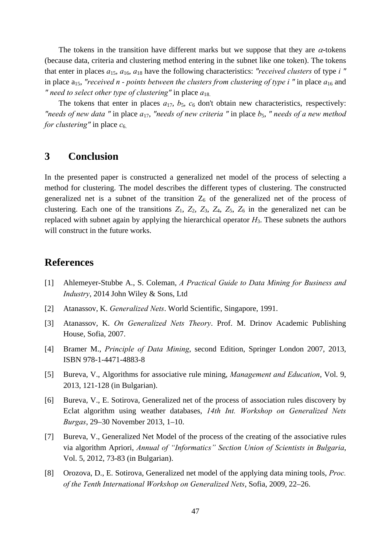The tokens in the transition have different marks but we suppose that they are  $\alpha$ -tokens (because data, criteria and clustering method entering in the subnet like one token). The tokens that enter in places *a*15, *a*16, *a*18 have the following characteristics: *"received clusters* of type *i "*  in place  $a_{15}$ , "received n - points between the clusters from clustering of type i " in place  $a_{16}$  and *"* need to select other type of clustering" in place  $a_{18}$ .

The tokens that enter in places  $a_{17}$ ,  $b_5$ ,  $c_6$  don't obtain new characteristics, respectively: *"needs of new data "* in place *a*17, *"needs of new criteria "* in place *b*5, *" needs of a new method for clustering*" in place  $c_6$ .

## **3 Conclusion**

In the presented paper is constructed a generalized net model of the process of selecting a method for clustering. The model describes the different types of clustering. The constructed generalized net is a subnet of the transition  $Z_6$  of the generalized net of the process of clustering. Each one of the transitions  $Z_1$ ,  $Z_2$ ,  $Z_3$ ,  $Z_4$ ,  $Z_5$ ,  $Z_6$  in the generalized net can be replaced with subnet again by applying the hierarchical operator *Н*3. These subnets the authors will construct in the future works.

#### **References**

- [1] Ahlemeyer-Stubbe A., S. Coleman, *A Practical Guide to Data Mining for Business and Industry*, 2014 John Wiley & Sons, Ltd
- [2] Atanassov, K. *Generalized Nets*. World Scientific, Singapore, 1991.
- [3] Atanassov, K. *On Generalized Nets Theory*. Prof. M. Drinov Academic Publishing House, Sofia, 2007.
- [4] Bramer M., *Principle of Data Mining*, second Edition, Springer London 2007, 2013, ISBN 978-1-4471-4883-8
- [5] Bureva, V., Algorithms for associative rule mining, *Management and Education*, Vol. 9, 2013, 121-128 (in Bulgarian).
- [6] Bureva, V., E. Sotirova, Generalized net of the process of association rules discovery by Eclat algorithm using weather databases, *14th Int. Workshop on Generalized Nets Burgas*, 29–30 November 2013, 1–10.
- [7] Bureva, V., Generalized Net Model of the process of the creating of the associative rules via algorithm Apriori, *Annual of "Informatics" Section Union of Scientists in Bulgaria*, Vol. 5, 2012, 73-83 (in Bulgarian).
- [8] Orozova, D., E. Sotirova, Generalized net model of the applying data mining tools, *Proc. of the Tenth International Workshop on Generalized Nets*, Sofia, 2009, 22–26.